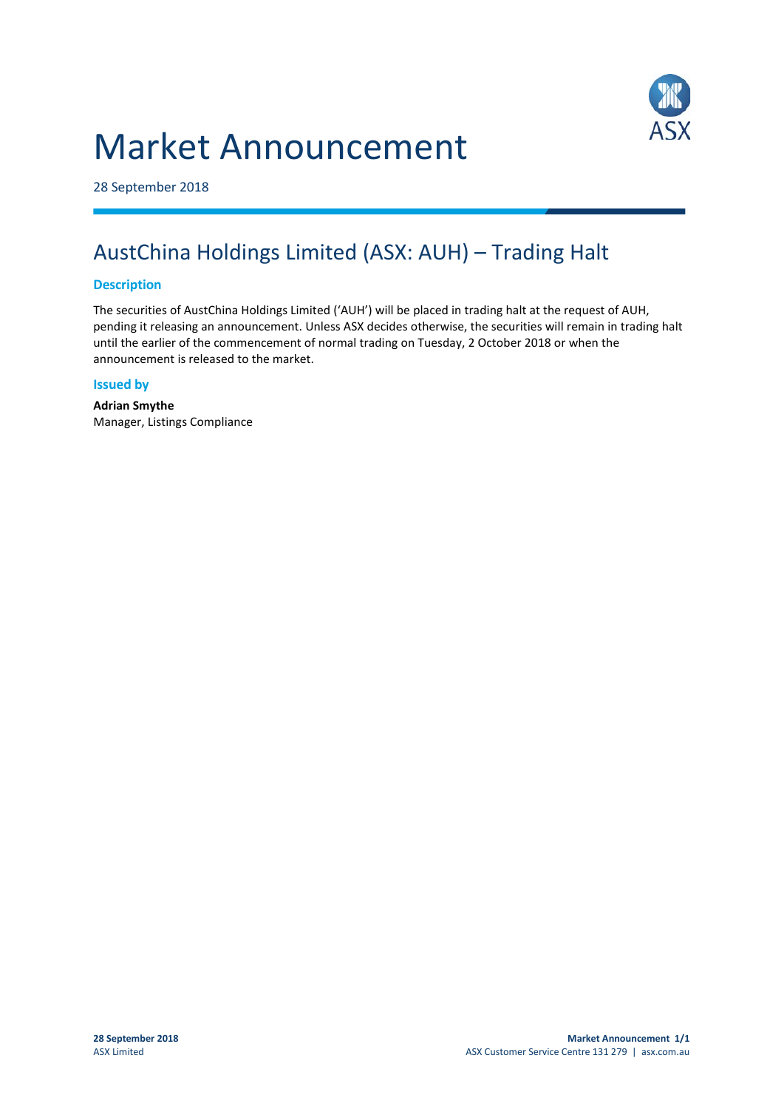# Market Announcement



28 September 2018

## AustChina Holdings Limited (ASX: AUH) – Trading Halt

#### **Description**

The securities of AustChina Holdings Limited ('AUH') will be placed in trading halt at the request of AUH, pending it releasing an announcement. Unless ASX decides otherwise, the securities will remain in trading halt until the earlier of the commencement of normal trading on Tuesday, 2 October 2018 or when the announcement is released to the market.

#### **Issued by**

**Adrian Smythe** Manager, Listings Compliance